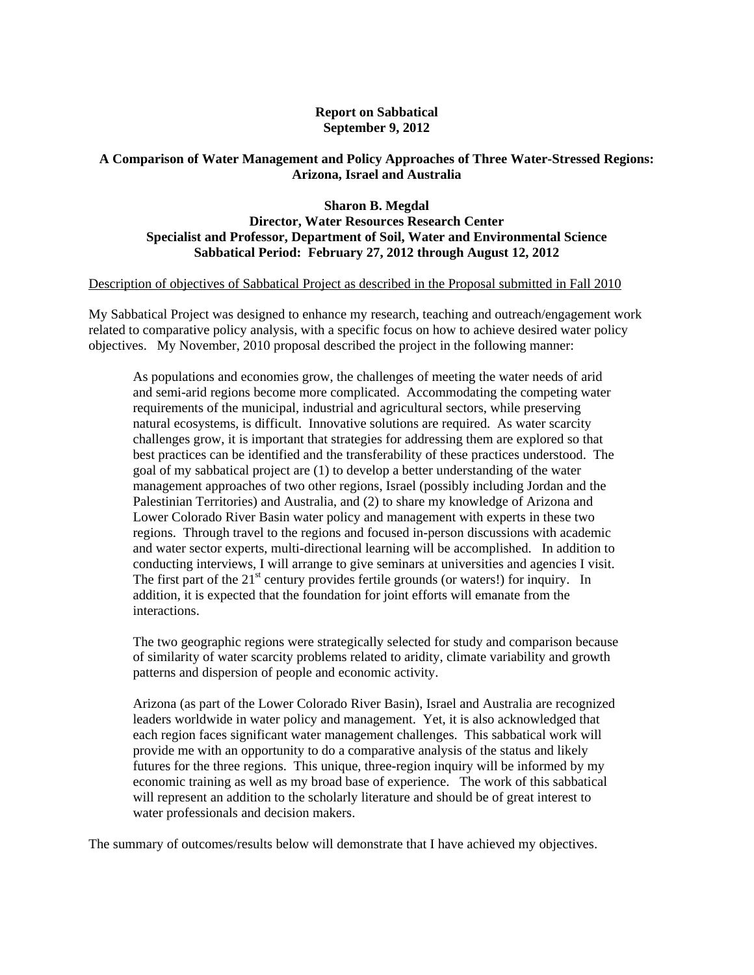# **Report on Sabbatical September 9, 2012**

# **A Comparison of Water Management and Policy Approaches of Three Water-Stressed Regions: Arizona, Israel and Australia**

# **Sharon B. Megdal Director, Water Resources Research Center Specialist and Professor, Department of Soil, Water and Environmental Science Sabbatical Period: February 27, 2012 through August 12, 2012**

### Description of objectives of Sabbatical Project as described in the Proposal submitted in Fall 2010

My Sabbatical Project was designed to enhance my research, teaching and outreach/engagement work related to comparative policy analysis, with a specific focus on how to achieve desired water policy objectives. My November, 2010 proposal described the project in the following manner:

As populations and economies grow, the challenges of meeting the water needs of arid and semi-arid regions become more complicated. Accommodating the competing water requirements of the municipal, industrial and agricultural sectors, while preserving natural ecosystems, is difficult. Innovative solutions are required. As water scarcity challenges grow, it is important that strategies for addressing them are explored so that best practices can be identified and the transferability of these practices understood. The goal of my sabbatical project are (1) to develop a better understanding of the water management approaches of two other regions, Israel (possibly including Jordan and the Palestinian Territories) and Australia, and (2) to share my knowledge of Arizona and Lower Colorado River Basin water policy and management with experts in these two regions. Through travel to the regions and focused in-person discussions with academic and water sector experts, multi-directional learning will be accomplished. In addition to conducting interviews, I will arrange to give seminars at universities and agencies I visit. The first part of the  $21<sup>st</sup>$  century provides fertile grounds (or waters!) for inquiry. In addition, it is expected that the foundation for joint efforts will emanate from the interactions.

The two geographic regions were strategically selected for study and comparison because of similarity of water scarcity problems related to aridity, climate variability and growth patterns and dispersion of people and economic activity.

Arizona (as part of the Lower Colorado River Basin), Israel and Australia are recognized leaders worldwide in water policy and management. Yet, it is also acknowledged that each region faces significant water management challenges. This sabbatical work will provide me with an opportunity to do a comparative analysis of the status and likely futures for the three regions. This unique, three-region inquiry will be informed by my economic training as well as my broad base of experience. The work of this sabbatical will represent an addition to the scholarly literature and should be of great interest to water professionals and decision makers.

The summary of outcomes/results below will demonstrate that I have achieved my objectives.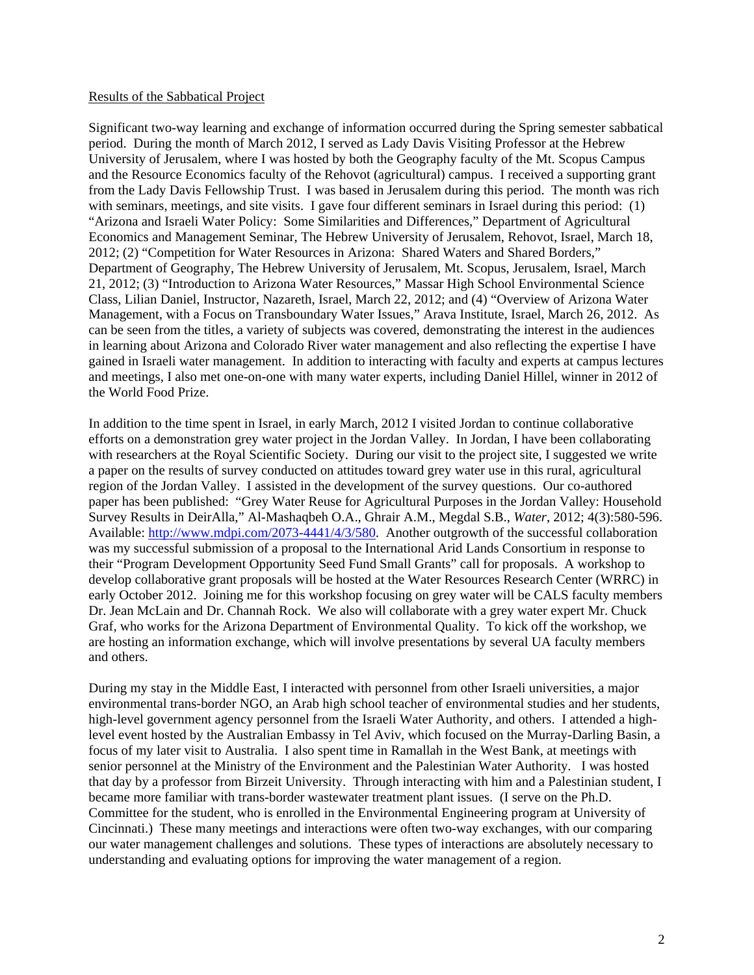### Results of the Sabbatical Project

Significant two-way learning and exchange of information occurred during the Spring semester sabbatical period. During the month of March 2012, I served as Lady Davis Visiting Professor at the Hebrew University of Jerusalem, where I was hosted by both the Geography faculty of the Mt. Scopus Campus and the Resource Economics faculty of the Rehovot (agricultural) campus. I received a supporting grant from the Lady Davis Fellowship Trust. I was based in Jerusalem during this period. The month was rich with seminars, meetings, and site visits. I gave four different seminars in Israel during this period: (1) "Arizona and Israeli Water Policy: Some Similarities and Differences," Department of Agricultural Economics and Management Seminar, The Hebrew University of Jerusalem, Rehovot, Israel, March 18, 2012; (2) "Competition for Water Resources in Arizona: Shared Waters and Shared Borders," Department of Geography, The Hebrew University of Jerusalem, Mt. Scopus, Jerusalem, Israel, March 21, 2012; (3) "Introduction to Arizona Water Resources," Massar High School Environmental Science Class, Lilian Daniel, Instructor, Nazareth, Israel, March 22, 2012; and (4) "Overview of Arizona Water Management, with a Focus on Transboundary Water Issues," Arava Institute, Israel, March 26, 2012. As can be seen from the titles, a variety of subjects was covered, demonstrating the interest in the audiences in learning about Arizona and Colorado River water management and also reflecting the expertise I have gained in Israeli water management. In addition to interacting with faculty and experts at campus lectures and meetings, I also met one-on-one with many water experts, including Daniel Hillel, winner in 2012 of the World Food Prize.

In addition to the time spent in Israel, in early March, 2012 I visited Jordan to continue collaborative efforts on a demonstration grey water project in the Jordan Valley. In Jordan, I have been collaborating with researchers at the Royal Scientific Society. During our visit to the project site, I suggested we write a paper on the results of survey conducted on attitudes toward grey water use in this rural, agricultural region of the Jordan Valley. I assisted in the development of the survey questions. Our co-authored paper has been published: "Grey Water Reuse for Agricultural Purposes in the Jordan Valley: Household Survey Results in DeirAlla," Al-Mashaqbeh O.A., Ghrair A.M., Megdal S.B., *Water*, 2012; 4(3):580-596. Available: http://www.mdpi.com/2073-4441/4/3/580. Another outgrowth of the successful collaboration was my successful submission of a proposal to the International Arid Lands Consortium in response to their "Program Development Opportunity Seed Fund Small Grants" call for proposals. A workshop to develop collaborative grant proposals will be hosted at the Water Resources Research Center (WRRC) in early October 2012. Joining me for this workshop focusing on grey water will be CALS faculty members Dr. Jean McLain and Dr. Channah Rock. We also will collaborate with a grey water expert Mr. Chuck Graf, who works for the Arizona Department of Environmental Quality. To kick off the workshop, we are hosting an information exchange, which will involve presentations by several UA faculty members and others.

During my stay in the Middle East, I interacted with personnel from other Israeli universities, a major environmental trans-border NGO, an Arab high school teacher of environmental studies and her students, high-level government agency personnel from the Israeli Water Authority, and others. I attended a highlevel event hosted by the Australian Embassy in Tel Aviv, which focused on the Murray-Darling Basin, a focus of my later visit to Australia. I also spent time in Ramallah in the West Bank, at meetings with senior personnel at the Ministry of the Environment and the Palestinian Water Authority. I was hosted that day by a professor from Birzeit University. Through interacting with him and a Palestinian student, I became more familiar with trans-border wastewater treatment plant issues. (I serve on the Ph.D. Committee for the student, who is enrolled in the Environmental Engineering program at University of Cincinnati.) These many meetings and interactions were often two-way exchanges, with our comparing our water management challenges and solutions. These types of interactions are absolutely necessary to understanding and evaluating options for improving the water management of a region.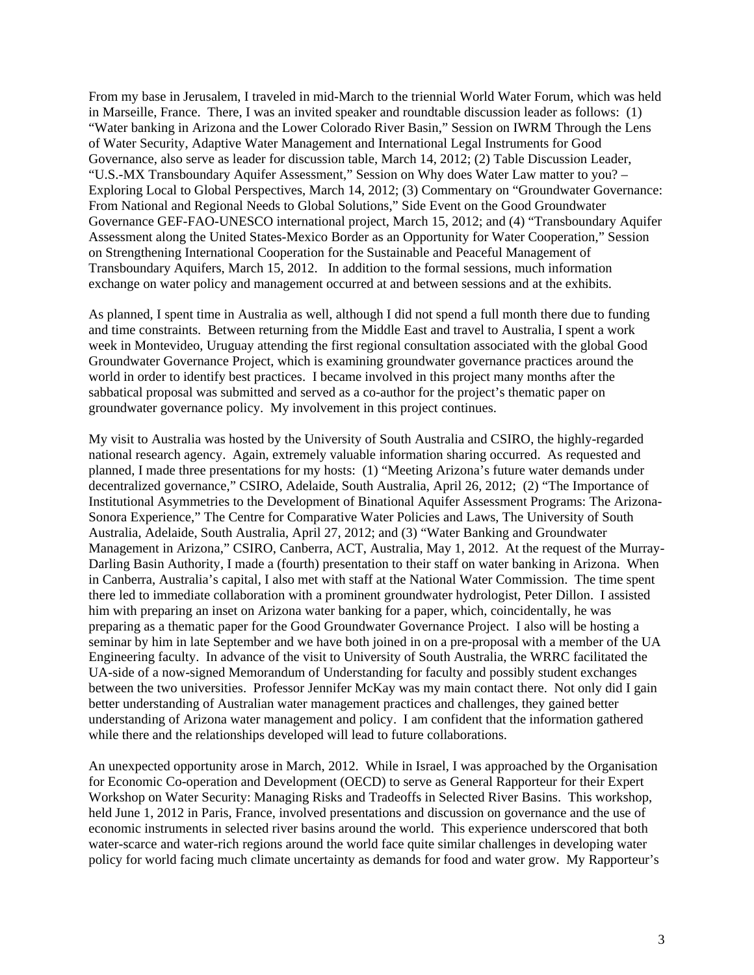From my base in Jerusalem, I traveled in mid-March to the triennial World Water Forum, which was held in Marseille, France. There, I was an invited speaker and roundtable discussion leader as follows: (1) "Water banking in Arizona and the Lower Colorado River Basin," Session on IWRM Through the Lens of Water Security, Adaptive Water Management and International Legal Instruments for Good Governance, also serve as leader for discussion table, March 14, 2012; (2) Table Discussion Leader, "U.S.-MX Transboundary Aquifer Assessment," Session on Why does Water Law matter to you? – Exploring Local to Global Perspectives, March 14, 2012; (3) Commentary on "Groundwater Governance: From National and Regional Needs to Global Solutions," Side Event on the Good Groundwater Governance GEF-FAO-UNESCO international project, March 15, 2012; and (4) "Transboundary Aquifer Assessment along the United States-Mexico Border as an Opportunity for Water Cooperation," Session on Strengthening International Cooperation for the Sustainable and Peaceful Management of Transboundary Aquifers, March 15, 2012. In addition to the formal sessions, much information exchange on water policy and management occurred at and between sessions and at the exhibits.

As planned, I spent time in Australia as well, although I did not spend a full month there due to funding and time constraints. Between returning from the Middle East and travel to Australia, I spent a work week in Montevideo, Uruguay attending the first regional consultation associated with the global Good Groundwater Governance Project, which is examining groundwater governance practices around the world in order to identify best practices. I became involved in this project many months after the sabbatical proposal was submitted and served as a co-author for the project's thematic paper on groundwater governance policy. My involvement in this project continues.

My visit to Australia was hosted by the University of South Australia and CSIRO, the highly-regarded national research agency. Again, extremely valuable information sharing occurred. As requested and planned, I made three presentations for my hosts: (1) "Meeting Arizona's future water demands under decentralized governance," CSIRO, Adelaide, South Australia, April 26, 2012; (2) "The Importance of Institutional Asymmetries to the Development of Binational Aquifer Assessment Programs: The Arizona-Sonora Experience," The Centre for Comparative Water Policies and Laws, The University of South Australia, Adelaide, South Australia, April 27, 2012; and (3) "Water Banking and Groundwater Management in Arizona," CSIRO, Canberra, ACT, Australia, May 1, 2012. At the request of the Murray-Darling Basin Authority, I made a (fourth) presentation to their staff on water banking in Arizona. When in Canberra, Australia's capital, I also met with staff at the National Water Commission. The time spent there led to immediate collaboration with a prominent groundwater hydrologist, Peter Dillon. I assisted him with preparing an inset on Arizona water banking for a paper, which, coincidentally, he was preparing as a thematic paper for the Good Groundwater Governance Project. I also will be hosting a seminar by him in late September and we have both joined in on a pre-proposal with a member of the UA Engineering faculty. In advance of the visit to University of South Australia, the WRRC facilitated the UA-side of a now-signed Memorandum of Understanding for faculty and possibly student exchanges between the two universities. Professor Jennifer McKay was my main contact there. Not only did I gain better understanding of Australian water management practices and challenges, they gained better understanding of Arizona water management and policy. I am confident that the information gathered while there and the relationships developed will lead to future collaborations.

An unexpected opportunity arose in March, 2012. While in Israel, I was approached by the Organisation for Economic Co-operation and Development (OECD) to serve as General Rapporteur for their Expert Workshop on Water Security: Managing Risks and Tradeoffs in Selected River Basins. This workshop, held June 1, 2012 in Paris, France, involved presentations and discussion on governance and the use of economic instruments in selected river basins around the world. This experience underscored that both water-scarce and water-rich regions around the world face quite similar challenges in developing water policy for world facing much climate uncertainty as demands for food and water grow. My Rapporteur's